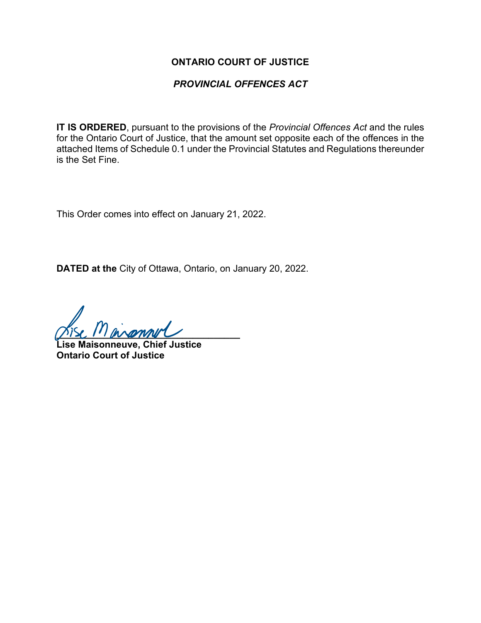#### **ONTARIO COURT OF JUSTICE**

### *PROVINCIAL OFFENCES ACT*

**IT IS ORDERED**, pursuant to the provisions of the *Provincial Offences Act* and the rules for the Ontario Court of Justice, that the amount set opposite each of the offences in the attached Items of Schedule 0.1 under the Provincial Statutes and Regulations thereunder is the Set Fine.

This Order comes into effect on January 21, 2022.

**DATED at the** City of Ottawa, Ontario, on January 20, 2022.

 $P N$ 

**Lise Maisonneuve, Chief Justice Ontario Court of Justice**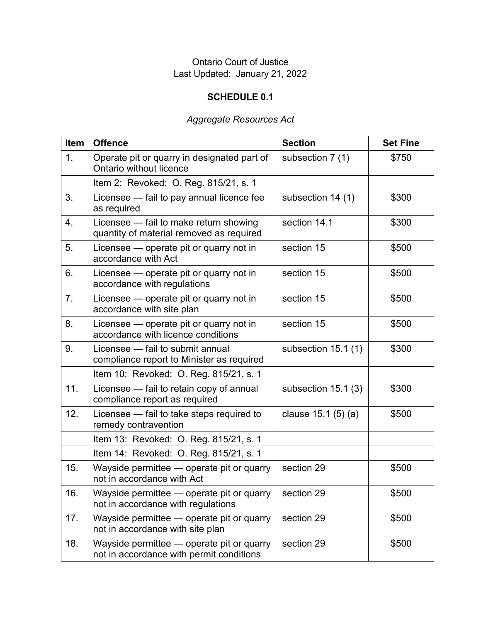## Ontario Court of Justice Last Updated: January 21, 2022

# **SCHEDULE 0.1**

# *Aggregate Resources Act*

| Item | <b>Offence</b>                                                                        | <b>Section</b>      | <b>Set Fine</b> |
|------|---------------------------------------------------------------------------------------|---------------------|-----------------|
| 1.   | Operate pit or quarry in designated part of<br>Ontario without licence                | subsection 7 (1)    | \$750           |
|      | Item 2: Revoked: O. Reg. 815/21, s. 1                                                 |                     |                 |
| 3.   | Licensee - fail to pay annual licence fee<br>as required                              | subsection 14 (1)   | \$300           |
| 4.   | Licensee - fail to make return showing<br>quantity of material removed as required    | section 14.1        | \$300           |
| 5.   | Licensee - operate pit or quarry not in<br>accordance with Act                        | section 15          | \$500           |
| 6.   | Licensee — operate pit or quarry not in<br>accordance with regulations                | section 15          | \$500           |
| 7.   | Licensee - operate pit or quarry not in<br>accordance with site plan                  | section 15          | \$500           |
| 8.   | Licensee - operate pit or quarry not in<br>accordance with licence conditions         | section 15          | \$500           |
| 9.   | Licensee - fail to submit annual<br>compliance report to Minister as required         | subsection 15.1 (1) | \$300           |
|      | Item 10: Revoked: O. Reg. 815/21, s. 1                                                |                     |                 |
| 11.  | Licensee - fail to retain copy of annual<br>compliance report as required             | subsection 15.1 (3) | \$300           |
| 12.  | Licensee - fail to take steps required to<br>remedy contravention                     | clause 15.1 (5) (a) | \$500           |
|      | Item 13: Revoked: O. Reg. 815/21, s. 1                                                |                     |                 |
|      | Item 14: Revoked: O. Reg. 815/21, s. 1                                                |                     |                 |
| 15.  | Wayside permittee - operate pit or quarry<br>not in accordance with Act               | section 29          | \$500           |
| 16.  | Wayside permittee - operate pit or quarry<br>not in accordance with regulations       | section 29          | \$500           |
| 17.  | Wayside permittee — operate pit or quarry<br>not in accordance with site plan         | section 29          | \$500           |
| 18.  | Wayside permittee — operate pit or quarry<br>not in accordance with permit conditions | section 29          | \$500           |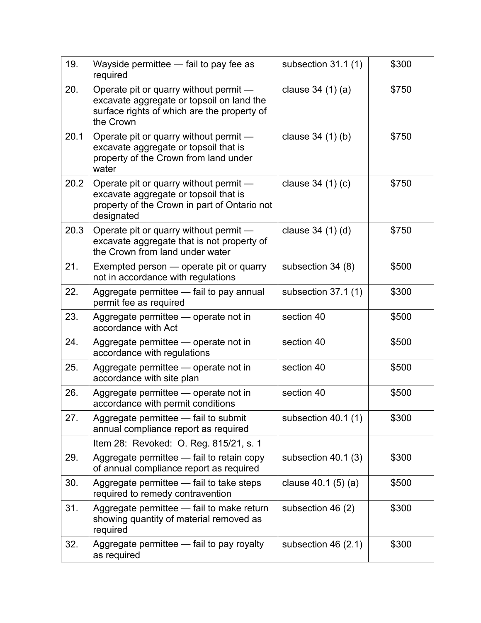| 19.  | Wayside permittee - fail to pay fee as<br>required                                                                                              | subsection 31.1 (1) | \$300 |
|------|-------------------------------------------------------------------------------------------------------------------------------------------------|---------------------|-------|
| 20.  | Operate pit or quarry without permit —<br>excavate aggregate or topsoil on land the<br>surface rights of which are the property of<br>the Crown | clause $34(1)(a)$   | \$750 |
| 20.1 | Operate pit or quarry without permit -<br>excavate aggregate or topsoil that is<br>property of the Crown from land under<br>water               | clause 34 (1) (b)   | \$750 |
| 20.2 | Operate pit or quarry without permit —<br>excavate aggregate or topsoil that is<br>property of the Crown in part of Ontario not<br>designated   | clause $34(1)(c)$   | \$750 |
| 20.3 | Operate pit or quarry without permit —<br>excavate aggregate that is not property of<br>the Crown from land under water                         | clause 34 (1) (d)   | \$750 |
| 21.  | Exempted person — operate pit or quarry<br>not in accordance with regulations                                                                   | subsection 34 (8)   | \$500 |
| 22.  | Aggregate permittee - fail to pay annual<br>permit fee as required                                                                              | subsection 37.1 (1) | \$300 |
| 23.  | Aggregate permittee - operate not in<br>accordance with Act                                                                                     | section 40          | \$500 |
| 24.  | Aggregate permittee — operate not in<br>accordance with regulations                                                                             | section 40          | \$500 |
| 25.  | Aggregate permittee - operate not in<br>accordance with site plan                                                                               | section 40          | \$500 |
| 26.  | Aggregate permittee - operate not in<br>accordance with permit conditions                                                                       | section 40          | \$500 |
| 27.  | Aggregate permittee - fail to submit<br>annual compliance report as required                                                                    | subsection 40.1 (1) | \$300 |
|      | Item 28: Revoked: O. Reg. 815/21, s. 1                                                                                                          |                     |       |
| 29.  | Aggregate permittee - fail to retain copy<br>of annual compliance report as required                                                            | subsection 40.1 (3) | \$300 |
| 30.  | Aggregate permittee — fail to take steps<br>required to remedy contravention                                                                    | clause $40.1(5)(a)$ | \$500 |
| 31.  | Aggregate permittee - fail to make return<br>showing quantity of material removed as<br>required                                                | subsection 46 (2)   | \$300 |
| 32.  | Aggregate permittee - fail to pay royalty<br>as required                                                                                        | subsection 46 (2.1) | \$300 |